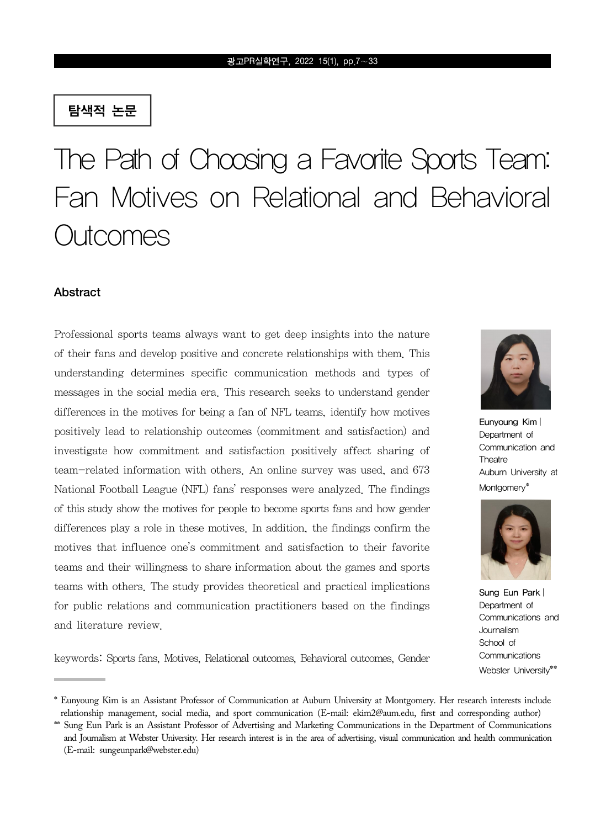### 탐색적 논문

# The Path of Choosing a Favorite Sports Team: Fan Motives on Relational and Behavioral Outcomes

### **Abstract**

Professional sports teams always want to get deep insights into the nature of their fans and develop positive and concrete relationships with them. This understanding determines specific communication methods and types of messages in the social media era. This research seeks to understand gender differences in the motives for being a fan of NFL teams, identify how motives positively lead to relationship outcomes (commitment and satisfaction) and investigate how commitment and satisfaction positively affect sharing of team-related information with others. An online survey was used, and 673 National Football League (NFL) fans' responses were analyzed. The findings of this study show the motives for people to become sports fans and how gender differences play a role in these motives. In addition, the findings confirm the motives that influence one's commitment and satisfaction to their favorite teams and their willingness to share information about the games and sports teams with others. The study provides theoretical and practical implications for public relations and communication practitioners based on the findings and literature review.



Eunyoung Kim | Department of Communication and **Theatre** Auburn University at Montgomery\*



Sung Eun Park | Department of Communications and Journalism School of **Communications** Webster University\*\*

keywords: Sports fans, Motives, Relational outcomes, Behavioral outcomes, Gender

<sup>\*</sup> Eunyoung Kim is an Assistant Professor of Communication at Auburn University at Montgomery. Her research interests include relationship management, social media, and sport communication (E-mail: ekim2@aum.edu, first and corresponding author)

<sup>\*\*</sup> Sung Eun Park is an Assistant Professor of Advertising and Marketing Communications in the Department of Communications and Journalism at Webster University. Her research interest is in the area of advertising, visual communication and health communication (E-mail: sungeunpark@webster.edu)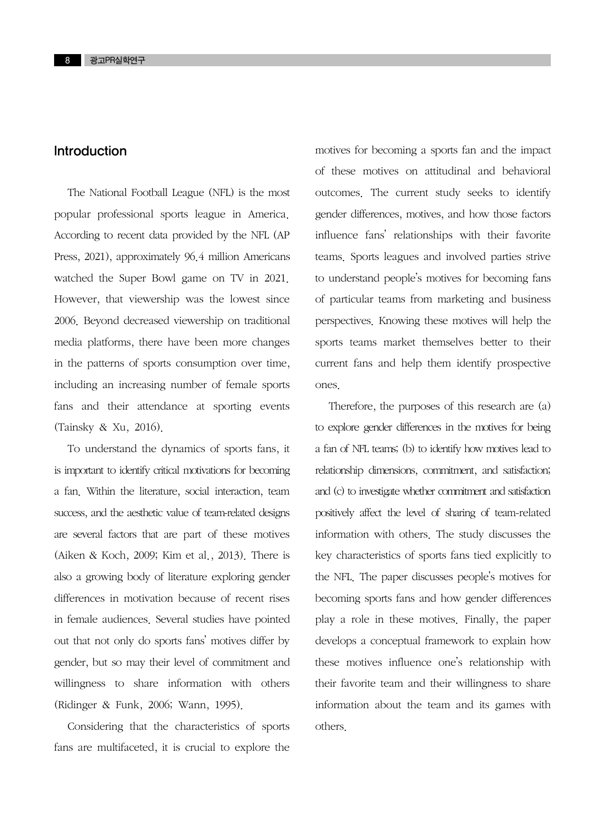### Introduction

The National Football League (NFL) is the most popular professional sports league in America. According to recent data provided by the NFL (AP Press, 2021), approximately 96.4 million Americans watched the Super Bowl game on TV in 2021. However, that viewership was the lowest since 2006. Beyond decreased viewership on traditional media platforms, there have been more changes in the patterns of sports consumption over time, including an increasing number of female sports fans and their attendance at sporting events (Tainsky & Xu, 2016).

To understand the dynamics of sports fans, it is important to identify critical motivations for becoming a fan. Within the literature, social interaction, team success, and the aesthetic value of team-related designs are several factors that are part of these motives (Aiken & Koch, 2009; Kim et al., 2013). There is also a growing body of literature exploring gender differences in motivation because of recent rises in female audiences. Several studies have pointed out that not only do sports fans' motives differ by gender, but so may their level of commitment and willingness to share information with others (Ridinger & Funk, 2006; Wann, 1995).

Considering that the characteristics of sports fans are multifaceted, it is crucial to explore the motives for becoming a sports fan and the impact of these motives on attitudinal and behavioral outcomes. The current study seeks to identify gender differences, motives, and how those factors influence fans' relationships with their favorite teams. Sports leagues and involved parties strive to understand people's motives for becoming fans of particular teams from marketing and business perspectives. Knowing these motives will help the sports teams market themselves better to their current fans and help them identify prospective ones.

Therefore, the purposes of this research are (a) to explore gender differences in the motives for being a fan of NFL teams; (b) to identify how motives lead to relationship dimensions, commitment, and satisfaction; and (c) to investigate whether commitment and satisfaction positively affect the level of sharing of team-related information with others. The study discusses the key characteristics of sports fans tied explicitly to the NFL. The paper discusses people's motives for becoming sports fans and how gender differences play a role in these motives. Finally, the paper develops a conceptual framework to explain how these motives influence one's relationship with their favorite team and their willingness to share information about the team and its games with others.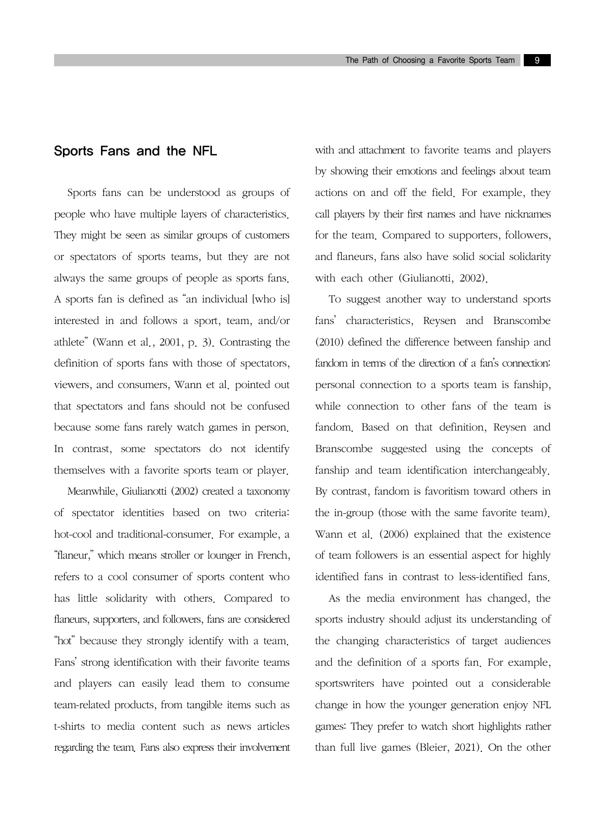### Sports Fans and the NFL

Sports fans can be understood as groups of people who have multiple layers of characteristics. They might be seen as similar groups of customers or spectators of sports teams, but they are not always the same groups of people as sports fans. A sports fan is defined as "an individual [who is] interested in and follows a sport, team, and/or athlete" (Wann et al., 2001, p. 3). Contrasting the definition of sports fans with those of spectators, viewers, and consumers, Wann et al. pointed out that spectators and fans should not be confused because some fans rarely watch games in person. In contrast, some spectators do not identify themselves with a favorite sports team or player.

Meanwhile, Giulianotti (2002) created a taxonomy of spectator identities based on two criteria: hot-cool and traditional-consumer. For example, a "flaneur," which means stroller or lounger in French, refers to a cool consumer of sports content who has little solidarity with others. Compared to flaneurs, supporters, and followers, fans are considered "hot" because they strongly identify with a team. Fans' strong identification with their favorite teams and players can easily lead them to consume team-related products, from tangible items such as t-shirts to media content such as news articles regarding the team. Fans also express their involvement with and attachment to favorite teams and players by showing their emotions and feelings about team actions on and off the field. For example, they call players by their first names and have nicknames for the team. Compared to supporters, followers, and flaneurs, fans also have solid social solidarity with each other (Giulianotti, 2002).

To suggest another way to understand sports fans' characteristics, Reysen and Branscombe (2010) defined the difference between fanship and fandom in terms of the direction of a fan's connection: personal connection to a sports team is fanship, while connection to other fans of the team is fandom. Based on that definition, Reysen and Branscombe suggested using the concepts of fanship and team identification interchangeably. By contrast, fandom is favoritism toward others in the in-group (those with the same favorite team). Wann et al. (2006) explained that the existence of team followers is an essential aspect for highly identified fans in contrast to less-identified fans.

As the media environment has changed, the sports industry should adjust its understanding of the changing characteristics of target audiences and the definition of a sports fan. For example, sportswriters have pointed out a considerable change in how the younger generation enjoy NFL games: They prefer to watch short highlights rather than full live games (Bleier, 2021). On the other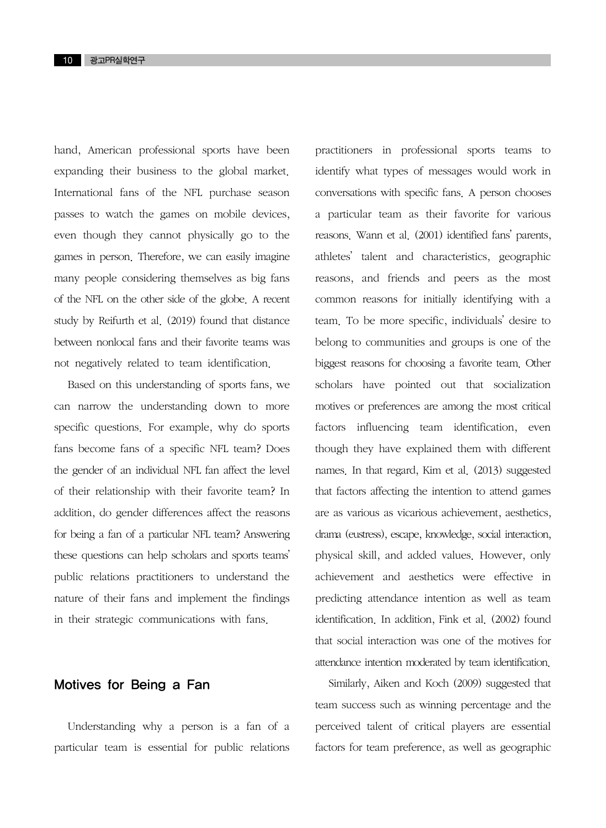hand, American professional sports have been expanding their business to the global market. International fans of the NFL purchase season passes to watch the games on mobile devices, even though they cannot physically go to the games in person. Therefore, we can easily imagine many people considering themselves as big fans of the NFL on the other side of the globe. A recent study by Reifurth et al. (2019) found that distance between nonlocal fans and their favorite teams was not negatively related to team identification.

Based on this understanding of sports fans, we can narrow the understanding down to more specific questions. For example, why do sports fans become fans of a specific NFL team? Does the gender of an individual NFL fan affect the level of their relationship with their favorite team? In addition, do gender differences affect the reasons for being a fan of a particular NFL team? Answering these questions can help scholars and sports teams' public relations practitioners to understand the nature of their fans and implement the findings in their strategic communications with fans.

### Motives for Being a Fan

Understanding why a person is a fan of a particular team is essential for public relations practitioners in professional sports teams to identify what types of messages would work in conversations with specific fans. A person chooses a particular team as their favorite for various reasons. Wann et al. (2001) identified fans' parents, athletes' talent and characteristics, geographic reasons, and friends and peers as the most common reasons for initially identifying with a team. To be more specific, individuals' desire to belong to communities and groups is one of the biggest reasons for choosing a favorite team. Other scholars have pointed out that socialization motives or preferences are among the most critical factors influencing team identification, even though they have explained them with different names. In that regard, Kim et al. (2013) suggested that factors affecting the intention to attend games are as various as vicarious achievement, aesthetics, drama (eustress), escape, knowledge, social interaction, physical skill, and added values. However, only achievement and aesthetics were effective in predicting attendance intention as well as team identification. In addition, Fink et al. (2002) found that social interaction was one of the motives for attendance intention moderated by team identification.

Similarly, Aiken and Koch (2009) suggested that team success such as winning percentage and the perceived talent of critical players are essential factors for team preference, as well as geographic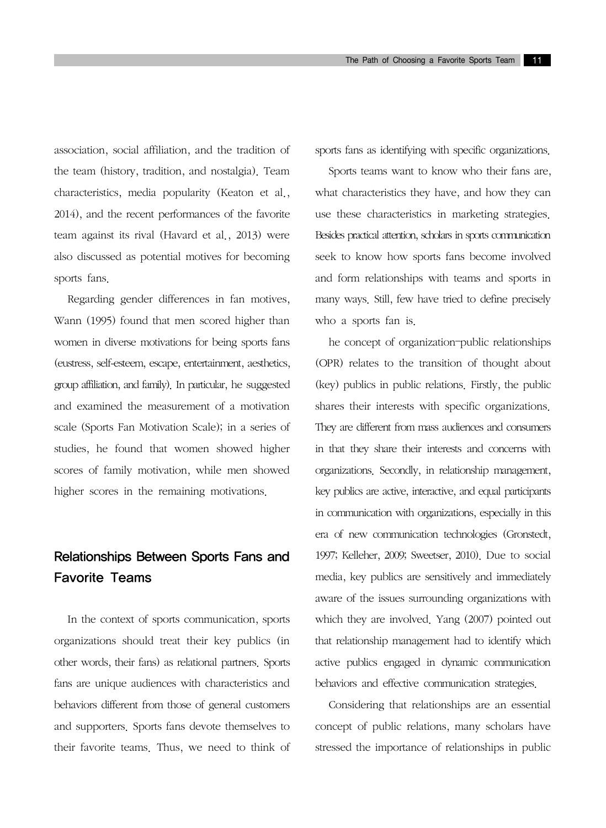association, social affiliation, and the tradition of the team (history, tradition, and nostalgia). Team characteristics, media popularity (Keaton et al., 2014), and the recent performances of the favorite team against its rival (Havard et al., 2013) were also discussed as potential motives for becoming sports fans.

Regarding gender differences in fan motives, Wann (1995) found that men scored higher than women in diverse motivations for being sports fans (eustress, self-esteem, escape, entertainment, aesthetics, group affiliation, and family). In particular, he suggested and examined the measurement of a motivation scale (Sports Fan Motivation Scale); in a series of studies, he found that women showed higher scores of family motivation, while men showed higher scores in the remaining motivations.

### Relationships Between Sports Fans and Favorite Teams

In the context of sports communication, sports organizations should treat their key publics (in other words, their fans) as relational partners. Sports fans are unique audiences with characteristics and behaviors different from those of general customers and supporters. Sports fans devote themselves to their favorite teams. Thus, we need to think of sports fans as identifying with specific organizations.

Sports teams want to know who their fans are, what characteristics they have, and how they can use these characteristics in marketing strategies. Besides practical attention, scholars in sports communication seek to know how sports fans become involved and form relationships with teams and sports in many ways. Still, few have tried to define precisely who a sports fan is.

he concept of organization–public relationships (OPR) relates to the transition of thought about (key) publics in public relations. Firstly, the public shares their interests with specific organizations. They are different from mass audiences and consumers in that they share their interests and concerns with organizations. Secondly, in relationship management, key publics are active, interactive, and equal participants in communication with organizations, especially in this era of new communication technologies (Gronstedt, 1997; Kelleher, 2009; Sweetser, 2010). Due to social media, key publics are sensitively and immediately aware of the issues surrounding organizations with which they are involved. Yang (2007) pointed out that relationship management had to identify which active publics engaged in dynamic communication behaviors and effective communication strategies.

Considering that relationships are an essential concept of public relations, many scholars have stressed the importance of relationships in public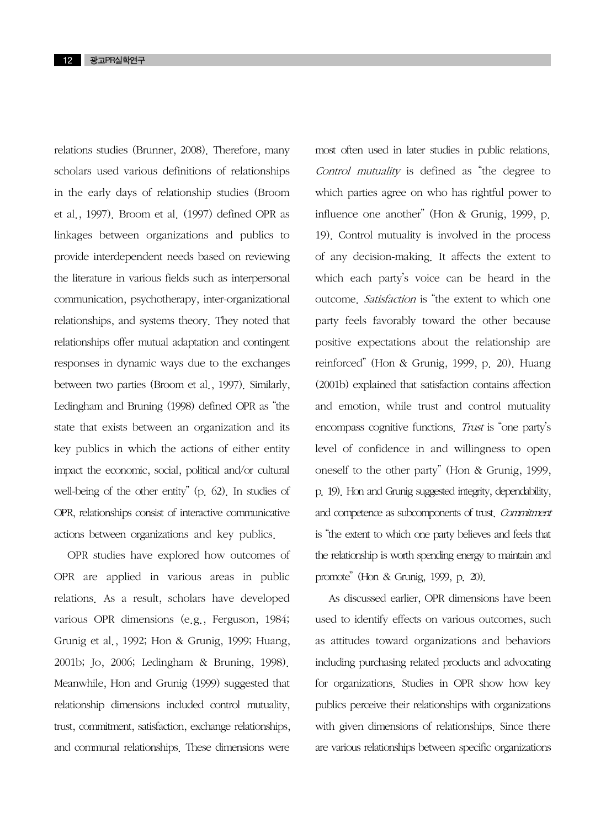relations studies (Brunner, 2008). Therefore, many scholars used various definitions of relationships in the early days of relationship studies (Broom et al., 1997). Broom et al. (1997) defined OPR as linkages between organizations and publics to provide interdependent needs based on reviewing the literature in various fields such as interpersonal communication, psychotherapy, inter-organizational relationships, and systems theory. They noted that relationships offer mutual adaptation and contingent responses in dynamic ways due to the exchanges between two parties (Broom et al., 1997). Similarly, Ledingham and Bruning (1998) defined OPR as "the state that exists between an organization and its key publics in which the actions of either entity impact the economic, social, political and/or cultural well-being of the other entity" (p. 62). In studies of OPR, relationships consist of interactive communicative actions between organizations and key publics.

OPR studies have explored how outcomes of OPR are applied in various areas in public relations. As a result, scholars have developed various OPR dimensions (e.g., Ferguson, 1984; Grunig et al., 1992; Hon & Grunig, 1999; Huang, 2001b; Jo, 2006; Ledingham & Bruning, 1998). Meanwhile, Hon and Grunig (1999) suggested that relationship dimensions included control mutuality, trust, commitment, satisfaction, exchange relationships, and communal relationships. These dimensions were

most often used in later studies in public relations. Control mutuality is defined as "the degree to which parties agree on who has rightful power to influence one another" (Hon & Grunig, 1999, p. 19). Control mutuality is involved in the process of any decision-making. It affects the extent to which each party's voice can be heard in the outcome. Satisfaction is "the extent to which one party feels favorably toward the other because positive expectations about the relationship are reinforced" (Hon & Grunig, 1999, p. 20). Huang (2001b) explained that satisfaction contains affection and emotion, while trust and control mutuality encompass cognitive functions. Trust is "one party's level of confidence in and willingness to open oneself to the other party" (Hon & Grunig, 1999, p. 19). Hon and Grunig suggested integrity, dependability, and competence as subcomponents of trust. Commitment is "the extent to which one party believes and feels that the relationship is worth spending energy to maintain and promote" (Hon & Grunig, 1999, p. 20).

As discussed earlier, OPR dimensions have been used to identify effects on various outcomes, such as attitudes toward organizations and behaviors including purchasing related products and advocating for organizations. Studies in OPR show how key publics perceive their relationships with organizations with given dimensions of relationships. Since there are various relationships between specific organizations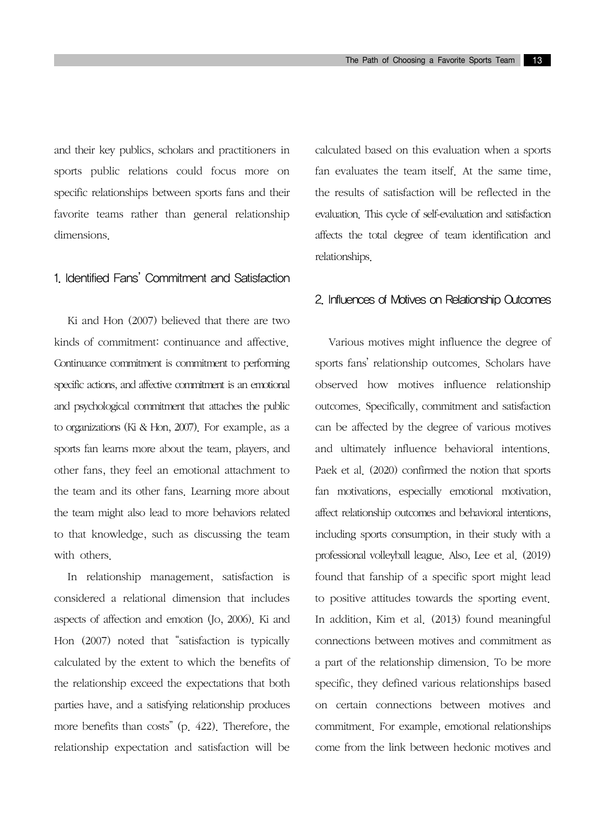and their key publics, scholars and practitioners in sports public relations could focus more on specific relationships between sports fans and their favorite teams rather than general relationship dimensions.

#### 1. Identified Fans' Commitment and Satisfaction

Ki and Hon (2007) believed that there are two kinds of commitment: continuance and affective. Continuance commitment is commitment to performing specific actions, and affective commitment is an emotional and psychological commitment that attaches the public to organizations (Ki & Hon, 2007). For example, as a sports fan learns more about the team, players, and other fans, they feel an emotional attachment to the team and its other fans. Learning more about the team might also lead to more behaviors related to that knowledge, such as discussing the team with others.

In relationship management, satisfaction is considered a relational dimension that includes aspects of affection and emotion (Jo, 2006). Ki and Hon (2007) noted that "satisfaction is typically calculated by the extent to which the benefits of the relationship exceed the expectations that both parties have, and a satisfying relationship produces more benefits than costs" (p. 422). Therefore, the relationship expectation and satisfaction will be calculated based on this evaluation when a sports fan evaluates the team itself. At the same time, the results of satisfaction will be reflected in the evaluation. This cycle of self-evaluation and satisfaction affects the total degree of team identification and relationships.

### 2. Influences of Motives on Relationship Outcomes

Various motives might influence the degree of sports fans' relationship outcomes. Scholars have observed how motives influence relationship outcomes. Specifically, commitment and satisfaction can be affected by the degree of various motives and ultimately influence behavioral intentions. Paek et al. (2020) confirmed the notion that sports fan motivations, especially emotional motivation, affect relationship outcomes and behavioral intentions, including sports consumption, in their study with a professional volleyball league. Also, Lee et al. (2019) found that fanship of a specific sport might lead to positive attitudes towards the sporting event. In addition, Kim et al. (2013) found meaningful connections between motives and commitment as a part of the relationship dimension. To be more specific, they defined various relationships based on certain connections between motives and commitment. For example, emotional relationships come from the link between hedonic motives and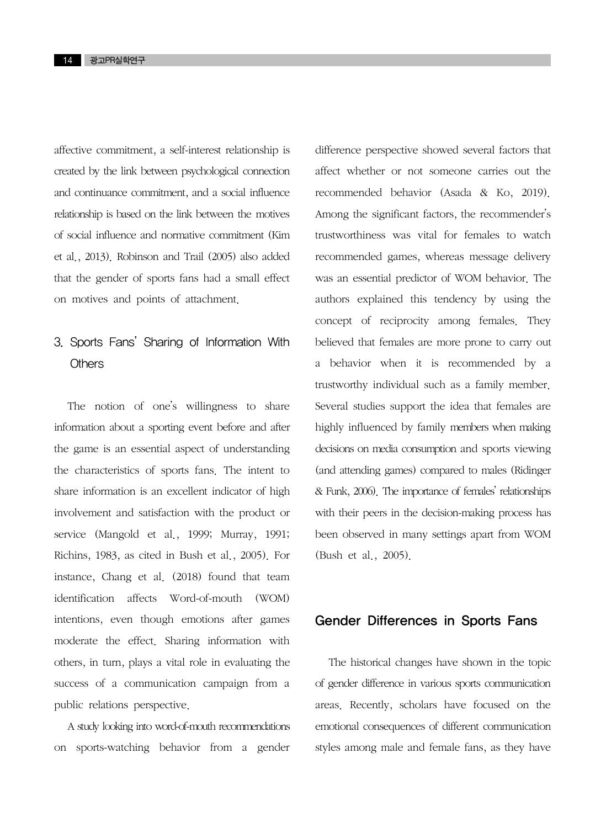affective commitment, a self-interest relationship is created by the link between psychological connection and continuance commitment, and a social influence relationship is based on the link between the motives of social influence and normative commitment (Kim et al., 2013). Robinson and Trail (2005) also added that the gender of sports fans had a small effect on motives and points of attachment.

### 3. Sports Fans' Sharing of Information With **Others**

The notion of one's willingness to share information about a sporting event before and after the game is an essential aspect of understanding the characteristics of sports fans. The intent to share information is an excellent indicator of high involvement and satisfaction with the product or service (Mangold et al., 1999; Murray, 1991; Richins, 1983, as cited in Bush et al., 2005). For instance, Chang et al. (2018) found that team identification affects Word-of-mouth (WOM) intentions, even though emotions after games moderate the effect. Sharing information with others, in turn, plays a vital role in evaluating the success of a communication campaign from a public relations perspective.

A study looking into word-of-mouth recommendations on sports-watching behavior from a gender difference perspective showed several factors that affect whether or not someone carries out the recommended behavior (Asada & Ko, 2019). Among the significant factors, the recommender's trustworthiness was vital for females to watch recommended games, whereas message delivery was an essential predictor of WOM behavior. The authors explained this tendency by using the concept of reciprocity among females. They believed that females are more prone to carry out a behavior when it is recommended by a trustworthy individual such as a family member. Several studies support the idea that females are highly influenced by family members when making decisions on media consumption and sports viewing (and attending games) compared to males (Ridinger & Funk, 2006). The importance of females' relationships with their peers in the decision-making process has been observed in many settings apart from WOM (Bush et al., 2005).

### Gender Differences in Sports Fans

The historical changes have shown in the topic of gender difference in various sports communication areas. Recently, scholars have focused on the emotional consequences of different communication styles among male and female fans, as they have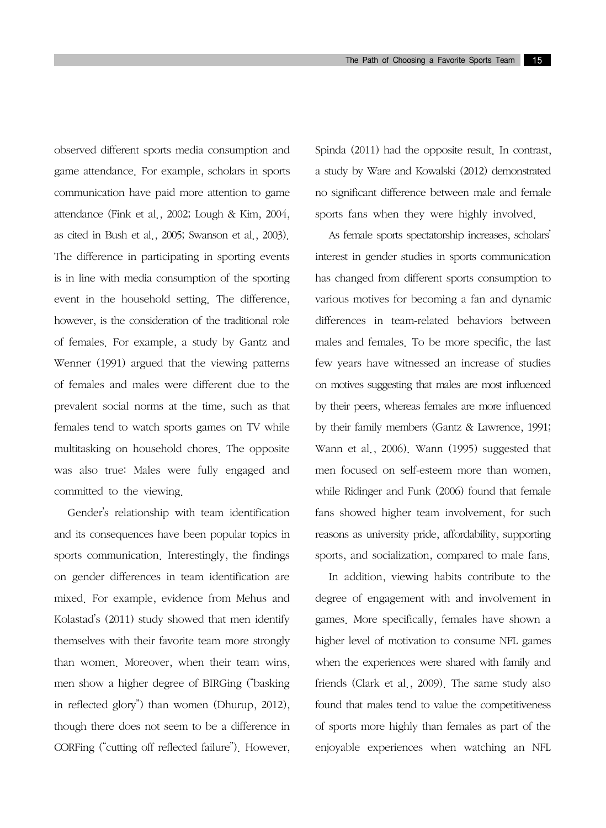observed different sports media consumption and game attendance. For example, scholars in sports communication have paid more attention to game attendance (Fink et al., 2002; Lough & Kim, 2004, as cited in Bush et al., 2005; Swanson et al., 2003). The difference in participating in sporting events is in line with media consumption of the sporting event in the household setting. The difference, however, is the consideration of the traditional role of females. For example, a study by Gantz and Wenner (1991) argued that the viewing patterns of females and males were different due to the prevalent social norms at the time, such as that females tend to watch sports games on TV while multitasking on household chores. The opposite was also true: Males were fully engaged and committed to the viewing.

Gender's relationship with team identification and its consequences have been popular topics in sports communication. Interestingly, the findings on gender differences in team identification are mixed. For example, evidence from Mehus and Kolastad's (2011) study showed that men identify themselves with their favorite team more strongly than women. Moreover, when their team wins, men show a higher degree of BIRGing ("basking in reflected glory") than women (Dhurup, 2012), though there does not seem to be a difference in CORFing ("cutting off reflected failure"). However, Spinda (2011) had the opposite result. In contrast, a study by Ware and Kowalski (2012) demonstrated no significant difference between male and female sports fans when they were highly involved.

As female sports spectatorship increases, scholars' interest in gender studies in sports communication has changed from different sports consumption to various motives for becoming a fan and dynamic differences in team-related behaviors between males and females. To be more specific, the last few years have witnessed an increase of studies on motives suggesting that males are most influenced by their peers, whereas females are more influenced by their family members (Gantz & Lawrence, 1991; Wann et al., 2006). Wann (1995) suggested that men focused on self-esteem more than women, while Ridinger and Funk (2006) found that female fans showed higher team involvement, for such reasons as university pride, affordability, supporting sports, and socialization, compared to male fans.

In addition, viewing habits contribute to the degree of engagement with and involvement in games. More specifically, females have shown a higher level of motivation to consume NFL games when the experiences were shared with family and friends (Clark et al., 2009). The same study also found that males tend to value the competitiveness of sports more highly than females as part of the enjoyable experiences when watching an NFL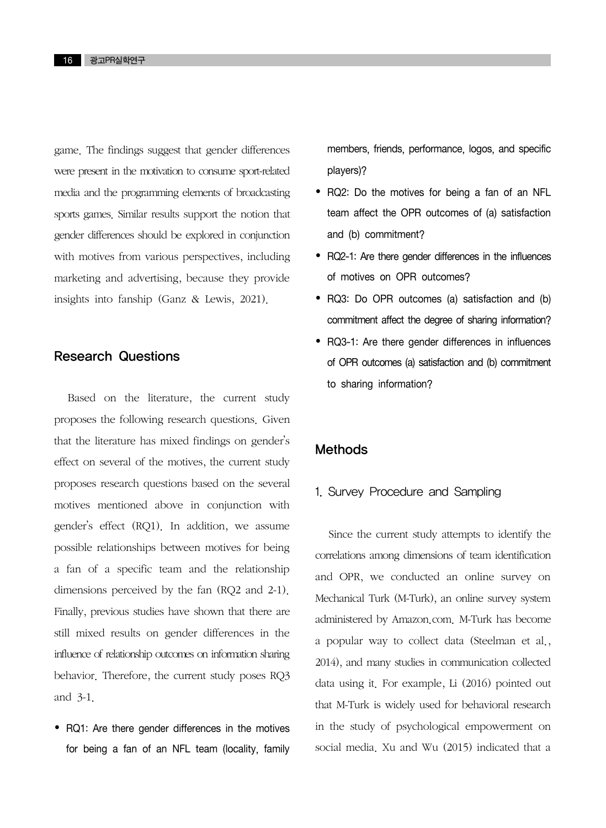game. The findings suggest that gender differences were present in the motivation to consume sport-related media and the programming elements of broadcasting sports games. Similar results support the notion that gender differences should be explored in conjunction with motives from various perspectives, including marketing and advertising, because they provide insights into fanship (Ganz & Lewis, 2021).

### Research Questions

Based on the literature, the current study proposes the following research questions. Given that the literature has mixed findings on gender's effect on several of the motives, the current study proposes research questions based on the several motives mentioned above in conjunction with gender's effect (RQ1). In addition, we assume possible relationships between motives for being a fan of a specific team and the relationship dimensions perceived by the fan (RQ2 and 2-1). Finally, previous studies have shown that there are still mixed results on gender differences in the influence of relationship outcomes on information sharing behavior. Therefore, the current study poses RQ3 and 3-1.

 RQ1: Are there gender differences in the motives for being a fan of an NFL team (locality, family members, friends, performance, logos, and specific players)?

- RQ2: Do the motives for being a fan of an NFL team affect the OPR outcomes of (a) satisfaction and (b) commitment?
- RQ2-1: Are there gender differences in the influences of motives on OPR outcomes?
- RQ3: Do OPR outcomes (a) satisfaction and (b) commitment affect the degree of sharing information?
- RQ3-1: Are there gender differences in influences of OPR outcomes (a) satisfaction and (b) commitment to sharing information?

### **Methods**

#### 1. Survey Procedure and Sampling

Since the current study attempts to identify the correlations among dimensions of team identification and OPR, we conducted an online survey on Mechanical Turk (M-Turk), an online survey system administered by Amazon.com. M-Turk has become a popular way to collect data (Steelman et al., 2014), and many studies in communication collected data using it. For example, Li (2016) pointed out that M-Turk is widely used for behavioral research in the study of psychological empowerment on social media. Xu and Wu (2015) indicated that a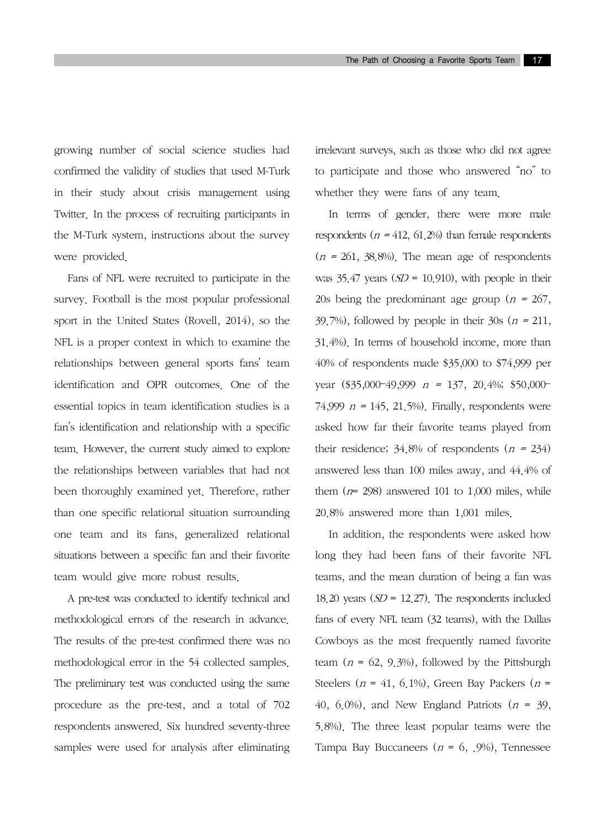growing number of social science studies had confirmed the validity of studies that used M-Turk in their study about crisis management using Twitter. In the process of recruiting participants in the M-Turk system, instructions about the survey were provided.

Fans of NFL were recruited to participate in the survey. Football is the most popular professional sport in the United States (Rovell, 2014), so the NFL is a proper context in which to examine the relationships between general sports fans' team identification and OPR outcomes. One of the essential topics in team identification studies is a fan's identification and relationship with a specific team. However, the current study aimed to explore the relationships between variables that had not been thoroughly examined yet. Therefore, rather than one specific relational situation surrounding one team and its fans, generalized relational situations between a specific fan and their favorite team would give more robust results.

A pre-test was conducted to identify technical and methodological errors of the research in advance. The results of the pre-test confirmed there was no methodological error in the 54 collected samples. The preliminary test was conducted using the same procedure as the pre-test, and a total of 702 respondents answered. Six hundred seventy-three samples were used for analysis after eliminating irrelevant surveys, such as those who did not agree to participate and those who answered "no" to whether they were fans of any team.

In terms of gender, there were more male respondents ( $n = 412$ , 61, 2%) than female respondents  $(n = 261, 38.8\%)$ . The mean age of respondents was  $35.47$  years  $(SD = 10.910)$ , with people in their 20s being the predominant age group ( $n = 267$ , 39.7%), followed by people in their 30s ( $n = 211$ , 31.4%). In terms of household income, more than 40% of respondents made \$35,000 to \$74,999 per year  $(\$35,000-49,999$   $n = 137, 20,4\%$ ; \$50,000-74,999  $n = 145, 21, 5\%$ . Finally, respondents were asked how far their favorite teams played from their residence;  $34.8\%$  of respondents  $(n = 234)$ answered less than 100 miles away, and 44.4% of them  $(n= 298)$  answered 101 to 1,000 miles, while 20.8% answered more than 1,001 miles.

In addition, the respondents were asked how long they had been fans of their favorite NFL teams, and the mean duration of being a fan was 18.20 years  $(SD = 12.27)$ . The respondents included fans of every NFL team (32 teams), with the Dallas Cowboys as the most frequently named favorite team  $(n = 62, 9.3\%)$ , followed by the Pittsburgh Steelers ( $n = 41, 6, 1\%$ ), Green Bay Packers ( $n =$ 40, 6.0%), and New England Patriots ( $n = 39$ , 5.8%). The three least popular teams were the Tampa Bay Buccaneers ( $n = 6, .9\%$ ), Tennessee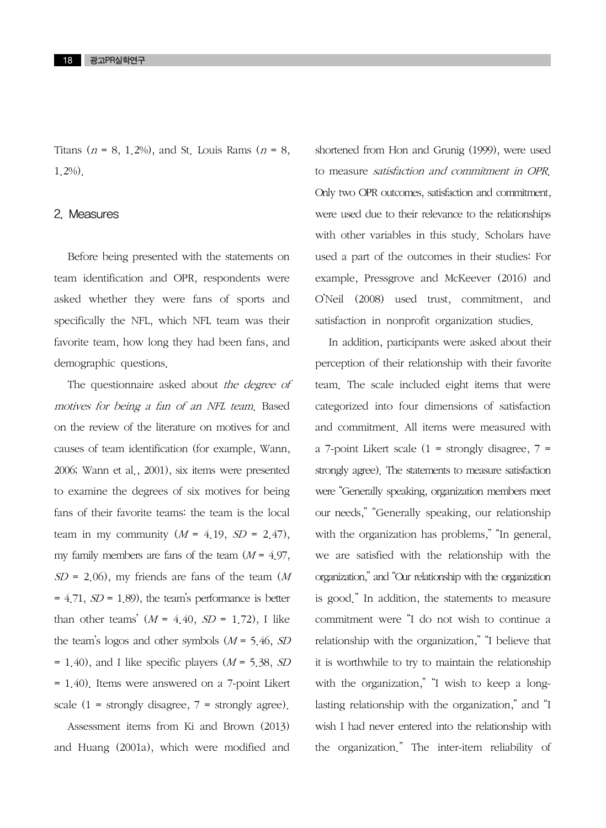Titans ( $n = 8$ , 1.2%), and St. Louis Rams ( $n = 8$ , 1.2%).

#### 2. Measures

Before being presented with the statements on team identification and OPR, respondents were asked whether they were fans of sports and specifically the NFL, which NFL team was their favorite team, how long they had been fans, and demographic questions.

The questionnaire asked about the degree of motives for being a fan of an NFL team. Based on the review of the literature on motives for and causes of team identification (for example, Wann, 2006; Wann et al., 2001), six items were presented to examine the degrees of six motives for being fans of their favorite teams: the team is the local team in my community  $(M = 4.19, SD = 2.47)$ , my family members are fans of the team  $(M = 4.97,$  $SD = 2.06$ ), my friends are fans of the team (M)  $= 4.71$ ,  $SD = 1.89$ , the team's performance is better than other teams'  $(M = 4.40, SD = 1.72)$ , I like the team's logos and other symbols  $(M = 5.46, SD)$  $= 1.40$ ), and I like specific players ( $M = 5.38$ , SD = 1.40). Items were answered on a 7-point Likert scale  $(1 =$  strongly disagree,  $7 =$  strongly agree).

Assessment items from Ki and Brown (2013) and Huang (2001a), which were modified and shortened from Hon and Grunig (1999), were used to measure satisfaction and commitment in OPR. Only two OPR outcomes, satisfaction and commitment, were used due to their relevance to the relationships with other variables in this study. Scholars have used a part of the outcomes in their studies: For example, Pressgrove and McKeever (2016) and O'Neil (2008) used trust, commitment, and satisfaction in nonprofit organization studies.

In addition, participants were asked about their perception of their relationship with their favorite team. The scale included eight items that were categorized into four dimensions of satisfaction and commitment. All items were measured with a 7-point Likert scale  $(1 -$  strongly disagree,  $7$ strongly agree). The statements to measure satisfaction were "Generally speaking, organization members meet our needs," "Generally speaking, our relationship with the organization has problems," "In general, we are satisfied with the relationship with the organization," and "Our relationship with the organization is good." In addition, the statements to measure commitment were "I do not wish to continue a relationship with the organization," "I believe that it is worthwhile to try to maintain the relationship with the organization," "I wish to keep a longlasting relationship with the organization," and "I wish I had never entered into the relationship with the organization." The inter-item reliability of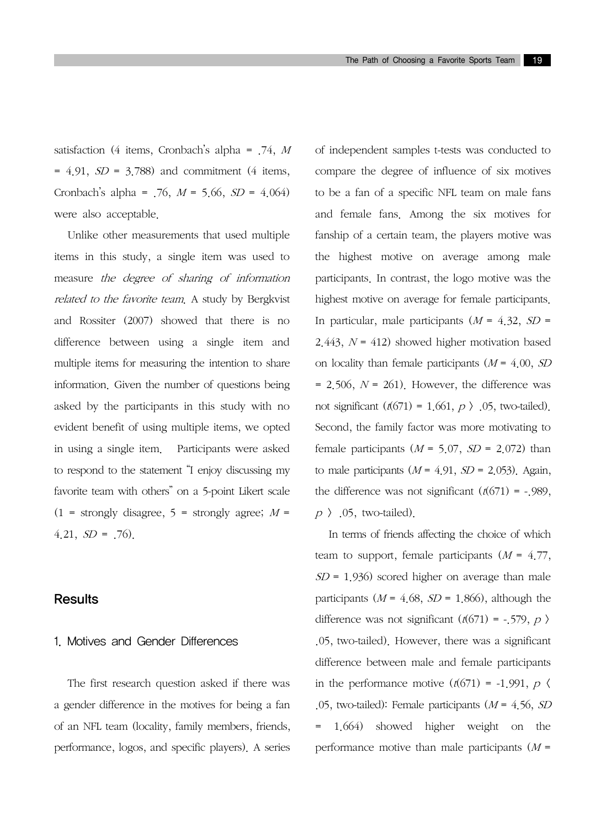satisfaction (4 items, Cronbach's alpha =  $.74$ , M  $= 4.91$ ,  $SD = 3.788$ ) and commitment (4 items, Cronbach's alpha =  $.76$ ,  $M = 5.66$ ,  $SD = 4.064$ ) were also acceptable.

Unlike other measurements that used multiple items in this study, a single item was used to measure the degree of sharing of information related to the favorite team. A study by Bergkvist and Rossiter (2007) showed that there is no difference between using a single item and multiple items for measuring the intention to share information. Given the number of questions being asked by the participants in this study with no evident benefit of using multiple items, we opted in using a single item. Participants were asked to respond to the statement "I enjoy discussing my favorite team with others" on a 5-point Likert scale  $(1 =$  strongly disagree,  $5 =$  strongly agree;  $M =$  $4.21, SD = .76$ .

#### Results

#### 1. Motives and Gender Differences

The first research question asked if there was a gender difference in the motives for being a fan of an NFL team (locality, family members, friends, performance, logos, and specific players). A series of independent samples t-tests was conducted to compare the degree of influence of six motives to be a fan of a specific NFL team on male fans and female fans. Among the six motives for fanship of a certain team, the players motive was the highest motive on average among male participants. In contrast, the logo motive was the highest motive on average for female participants. In particular, male participants  $(M = 4.32, SD =$ 2.443,  $N = 412$ ) showed higher motivation based on locality than female participants  $(M = 4.00, SD)$  $= 2.506$ ,  $N = 261$ ). However, the difference was not significant  $(t(671) = 1.661, p \, t)$ . 05, two-tailed). Second, the family factor was more motivating to female participants  $(M = 5.07, SD = 2.072)$  than to male participants  $(M = 4.91, SD = 2.053)$ . Again, the difference was not significant  $(t(671) = -0.989)$ ,  $p \rightarrow .05$ , two-tailed).

In terms of friends affecting the choice of which team to support, female participants  $(M = 4.77)$ ,  $SD = 1.936$ ) scored higher on average than male participants ( $M = 4.68$ ,  $SD = 1.866$ ), although the difference was not significant ( $t$ (671) = -.579,  $p$ ) .05, two-tailed). However, there was a significant difference between male and female participants in the performance motive  $(t(671) = -1.991, p \le$ .05, two-tailed): Female participants  $(M = 4.56, SD)$ = 1.664) showed higher weight on the performance motive than male participants  $(M =$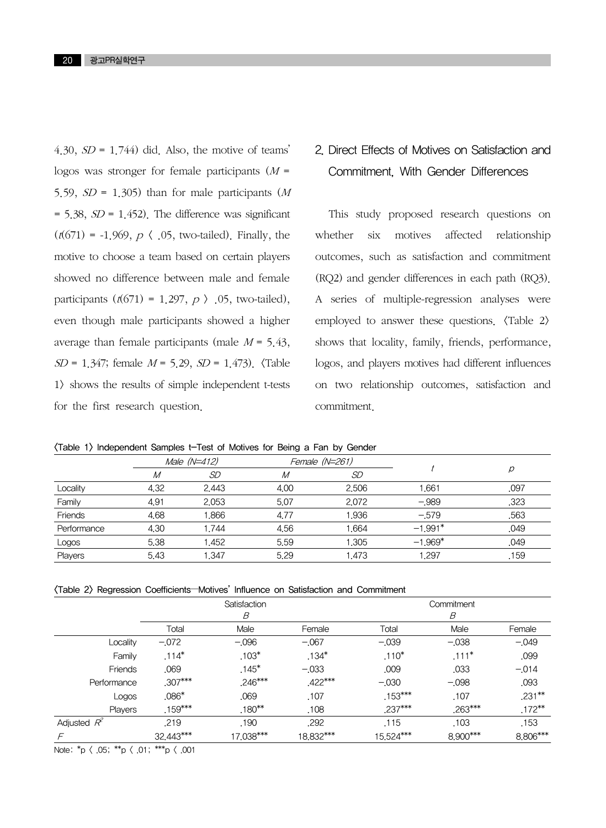4.30,  $SD = 1.744$ ) did. Also, the motive of teams' logos was stronger for female participants  $(M =$ 5.59,  $SD = 1.305$ ) than for male participants (M)  $= 5.38$ ,  $SD = 1.452$ ). The difference was significant  $(t(671) = -1.969, p \, \langle .05, two-tailed)$ . Finally, the motive to choose a team based on certain players showed no difference between male and female participants  $(t(671) = 1.297, p \rightarrow .05$ , two-tailed), even though male participants showed a higher average than female participants (male  $M = 5.43$ ,  $SD = 1.347$ ; female  $M = 5.29$ ,  $SD = 1.473$ ).  $\langle Table$ 1> shows the results of simple independent t-tests for the first research question.

### 2. Direct Effects of Motives on Satisfaction and Commitment, With Gender Differences

This study proposed research questions on whether six motives affected relationship outcomes, such as satisfaction and commitment (RQ2) and gender differences in each path (RQ3). A series of multiple-regression analyses were employed to answer these questions.  $\langle \text{Table 2} \rangle$ shows that locality, family, friends, performance, logos, and players motives had different influences on two relationship outcomes, satisfaction and commitment.

<Table 1> Independent Samples t-Test of Motives for Being a Fan by Gender

|             | Male (N=412) |       | Female (N=261) |       |           |      |
|-------------|--------------|-------|----------------|-------|-----------|------|
|             | М            | SD    | М              | SD    |           |      |
| Locality    | 4.32         | 2.443 | 4.00           | 2.506 | 1,661     | .097 |
| Family      | 4.91         | 2.053 | 5.07           | 2.072 | $-.989$   | .323 |
| Friends     | 4.68         | 1.866 | 4.77           | 1.936 | $-579$    | .563 |
| Performance | 4.30         | 1.744 | 4.56           | .664  | $-1.991*$ | .049 |
| Logos       | 5.38         | 1.452 | 5.59           | 1.305 | $-1.969*$ | .049 |
| Players     | 5.43         | 1.347 | 5.29           | 1.473 | 1.297     | .159 |

|  | (Table 2) Regression Coefficients-Motives' Influence on Satisfaction and Commitment |
|--|-------------------------------------------------------------------------------------|
|--|-------------------------------------------------------------------------------------|

|                | Satisfaction<br>B |           |           | Commitment<br>B |           |           |
|----------------|-------------------|-----------|-----------|-----------------|-----------|-----------|
|                |                   |           |           |                 |           |           |
|                | Total             | Male      | Female    | Total           | Male      | Female    |
| Locality       | $-.072$           | $-0.096$  | $-.067$   | $-0.039$        | $-0.038$  | $-.049$   |
| Family         | $.114*$           | $.103*$   | $.134*$   | $.110*$         | $.111*$   | .099      |
| Friends        | .069              | $.145*$   | $-.033$   | .009            | .033      | $-0.014$  |
| Performance    | .307***           | $.246***$ | $.422***$ | $-.030$         | $-.098$   | .093      |
| Logos          | $.086*$           | .069      | .107      | $.153***$       | .107      | $.231***$ |
| Players        | $.159***$         | $.180***$ | .108      | $.237***$       | $.263***$ | $.172***$ |
| Adjusted $R^2$ | .219              | .190      | .292      | .115            | .103      | .153      |
| $\sqrt{2}$     | 32.443***         | 17,038*** | 18.832*** | 15.524***       | 8.900***  | 8,806***  |

Note:  ${}^{*}p$   $\langle$  .05;  ${}^{**}p$   $\langle$  .01;  ${}^{***}p$   $\langle$  .001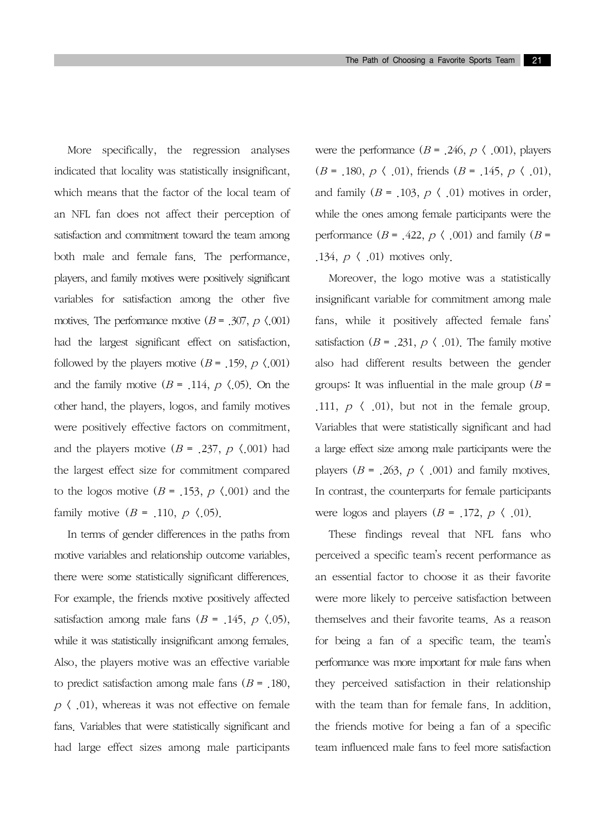More specifically, the regression analyses indicated that locality was statistically insignificant, which means that the factor of the local team of an NFL fan does not affect their perception of satisfaction and commitment toward the team among both male and female fans. The performance, players, and family motives were positively significant variables for satisfaction among the other five motives. The performance motive  $(B = .307, p \le 0.001)$ had the largest significant effect on satisfaction, followed by the players motive ( $B = 0.159$ ,  $p \le 0.001$ ) and the family motive  $(B = 0.114, p \cdot 0.05)$ . On the other hand, the players, logos, and family motives were positively effective factors on commitment, and the players motive ( $B = .237$ ,  $p \langle .001 \rangle$  had the largest effect size for commitment compared to the logos motive ( $B = 0.153$ ,  $p \le 0.001$ ) and the family motive  $(B = .110, p \langle .05 \rangle)$ .

In terms of gender differences in the paths from motive variables and relationship outcome variables, there were some statistically significant differences. For example, the friends motive positively affected satisfaction among male fans  $(B = 0.145, p \cdot 0.05)$ , while it was statistically insignificant among females. Also, the players motive was an effective variable to predict satisfaction among male fans  $(B = 180,$  $p \langle .01 \rangle$ , whereas it was not effective on female fans. Variables that were statistically significant and had large effect sizes among male participants were the performance  $(B = .246, p \langle .001 \rangle)$ , players  $(B = .180, p \, \langle .01 \rangle, \text{ friends } (B = .145, p \, \langle .01 \rangle,$ and family ( $B = .103$ ,  $p \langle .01 \rangle$  motives in order, while the ones among female participants were the performance ( $B = .422$ ,  $p \langle .001 \rangle$  and family ( $B =$ .134,  $p \langle .01 \rangle$  motives only.

Moreover, the logo motive was a statistically insignificant variable for commitment among male fans, while it positively affected female fans' satisfaction ( $B = .231$ ,  $p \langle .01 \rangle$ . The family motive also had different results between the gender groups: It was influential in the male group ( $B =$ .111,  $p \langle .01 \rangle$ , but not in the female group. Variables that were statistically significant and had a large effect size among male participants were the players ( $B = 0.263$ ,  $p \langle 0.001 \rangle$  and family motives. In contrast, the counterparts for female participants were logos and players ( $B = 0.172$ ,  $p \langle 0.01 \rangle$ .

These findings reveal that NFL fans who perceived a specific team's recent performance as an essential factor to choose it as their favorite were more likely to perceive satisfaction between themselves and their favorite teams. As a reason for being a fan of a specific team, the team's performance was more important for male fans when they perceived satisfaction in their relationship with the team than for female fans. In addition, the friends motive for being a fan of a specific team influenced male fans to feel more satisfaction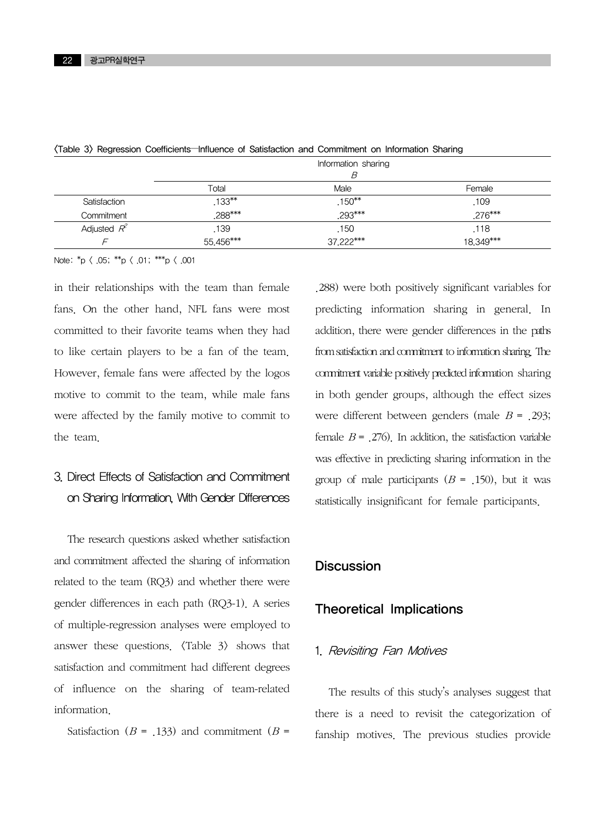|                | Information sharing<br>B |           |           |  |
|----------------|--------------------------|-----------|-----------|--|
|                | Total                    | Male      | Female    |  |
| Satisfaction   | $.133***$                | $.150***$ | .109      |  |
| Commitment     | .288***                  | .293***   | $.276***$ |  |
| Adjusted $R^2$ | .139                     | .150      | .118      |  |
|                | 55,456***                | 37,222*** | 18,349*** |  |

<Table 3> Regression Coefficients—Influence of Satisfaction and Commitment on Information Sharing

Note:  ${}^*p$   $\langle$  .05;  ${}^{**}p$   $\langle$  .01;  ${}^{***}p$   $\langle$  .001

in their relationships with the team than female fans. On the other hand, NFL fans were most committed to their favorite teams when they had to like certain players to be a fan of the team. However, female fans were affected by the logos motive to commit to the team, while male fans were affected by the family motive to commit to the team.

### 3. Direct Effects of Satisfaction and Commitment on Sharing Information, With Gender Differences

The research questions asked whether satisfaction and commitment affected the sharing of information related to the team (RQ3) and whether there were gender differences in each path (RQ3-1). A series of multiple-regression analyses were employed to answer these questions.  $\langle \text{Table } 3 \rangle$  shows that satisfaction and commitment had different degrees of influence on the sharing of team-related information.

Satisfaction ( $B = 0.133$ ) and commitment ( $B = 0.133$ )

.288) were both positively significant variables for predicting information sharing in general. In addition, there were gender differences in the paths from satisfaction and commitment to information sharing. The commitment variable positively predicted information sharing in both gender groups, although the effect sizes were different between genders (male  $B = 0.293$ ; female  $B = 0.276$ . In addition, the satisfaction variable was effective in predicting sharing information in the group of male participants  $(B = 0.150)$ , but it was statistically insignificant for female participants.

### **Discussion**

### Theoretical Implications

#### 1. Revisiting Fan Motives

The results of this study's analyses suggest that there is a need to revisit the categorization of fanship motives. The previous studies provide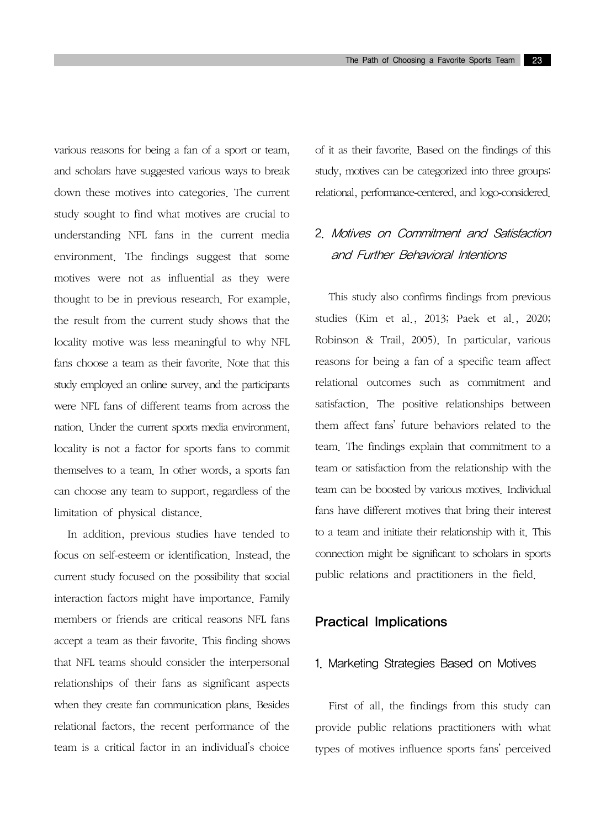various reasons for being a fan of a sport or team, and scholars have suggested various ways to break down these motives into categories. The current study sought to find what motives are crucial to understanding NFL fans in the current media environment. The findings suggest that some motives were not as influential as they were thought to be in previous research. For example, the result from the current study shows that the locality motive was less meaningful to why NFL fans choose a team as their favorite. Note that this study employed an online survey, and the participants were NFL fans of different teams from across the nation. Under the current sports media environment, locality is not a factor for sports fans to commit themselves to a team. In other words, a sports fan can choose any team to support, regardless of the limitation of physical distance.

In addition, previous studies have tended to focus on self-esteem or identification. Instead, the current study focused on the possibility that social interaction factors might have importance. Family members or friends are critical reasons NFL fans accept a team as their favorite. This finding shows that NFL teams should consider the interpersonal relationships of their fans as significant aspects when they create fan communication plans. Besides relational factors, the recent performance of the team is a critical factor in an individual's choice of it as their favorite. Based on the findings of this study, motives can be categorized into three groups: relational, performance-centered, and logo-considered.

### 2. Motives on Commitment and Satisfaction and Further Behavioral Intentions

This study also confirms findings from previous studies (Kim et al., 2013; Paek et al., 2020; Robinson & Trail, 2005). In particular, various reasons for being a fan of a specific team affect relational outcomes such as commitment and satisfaction. The positive relationships between them affect fans' future behaviors related to the team. The findings explain that commitment to a team or satisfaction from the relationship with the team can be boosted by various motives. Individual fans have different motives that bring their interest to a team and initiate their relationship with it. This connection might be significant to scholars in sports public relations and practitioners in the field.

### Practical Implications

#### 1. Marketing Strategies Based on Motives

First of all, the findings from this study can provide public relations practitioners with what types of motives influence sports fans' perceived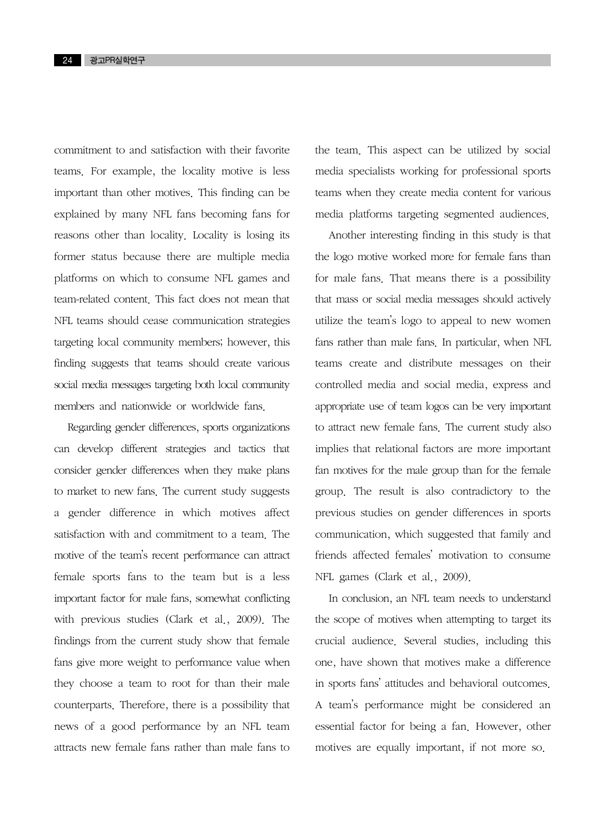commitment to and satisfaction with their favorite teams. For example, the locality motive is less important than other motives. This finding can be explained by many NFL fans becoming fans for reasons other than locality. Locality is losing its former status because there are multiple media platforms on which to consume NFL games and team-related content. This fact does not mean that NFL teams should cease communication strategies targeting local community members; however, this finding suggests that teams should create various social media messages targeting both local community members and nationwide or worldwide fans.

Regarding gender differences, sports organizations can develop different strategies and tactics that consider gender differences when they make plans to market to new fans. The current study suggests a gender difference in which motives affect satisfaction with and commitment to a team. The motive of the team's recent performance can attract female sports fans to the team but is a less important factor for male fans, somewhat conflicting with previous studies (Clark et al., 2009). The findings from the current study show that female fans give more weight to performance value when they choose a team to root for than their male counterparts. Therefore, there is a possibility that news of a good performance by an NFL team attracts new female fans rather than male fans to the team. This aspect can be utilized by social media specialists working for professional sports teams when they create media content for various media platforms targeting segmented audiences.

Another interesting finding in this study is that the logo motive worked more for female fans than for male fans. That means there is a possibility that mass or social media messages should actively utilize the team's logo to appeal to new women fans rather than male fans. In particular, when NFL teams create and distribute messages on their controlled media and social media, express and appropriate use of team logos can be very important to attract new female fans. The current study also implies that relational factors are more important fan motives for the male group than for the female group. The result is also contradictory to the previous studies on gender differences in sports communication, which suggested that family and friends affected females' motivation to consume NFL games (Clark et al., 2009).

In conclusion, an NFL team needs to understand the scope of motives when attempting to target its crucial audience. Several studies, including this one, have shown that motives make a difference in sports fans' attitudes and behavioral outcomes. A team's performance might be considered an essential factor for being a fan. However, other motives are equally important, if not more so.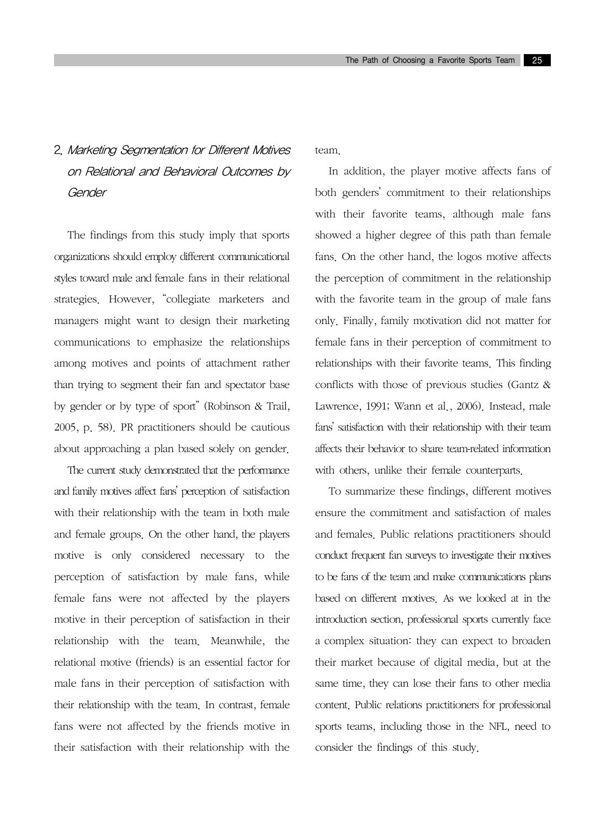### 2. Marketing Segmentation for Different Motives on Relational and Behavioral Outcomes by Gender

The findings from this study imply that sports organizations should employ different communicational styles toward male and female fans in their relational strategies. However, "collegiate marketers and managers might want to design their marketing communications to emphasize the relationships among motives and points of attachment rather than trying to segment their fan and spectator base by gender or by type of sport" (Robinson & Trail, 2005, p. 58). PR practitioners should be cautious about approaching a plan based solely on gender.

The current study demonstrated that the performance and family motives affect fans' perception of satisfaction with their relationship with the team in both male and female groups. On the other hand, the players motive is only considered necessary to the perception of satisfaction by male fans, while female fans were not affected by the players motive in their perception of satisfaction in their relationship with the team. Meanwhile, the relational motive (friends) is an essential factor for male fans in their perception of satisfaction with their relationship with the team. In contrast, female fans were not affected by the friends motive in their satisfaction with their relationship with the team.

In addition, the player motive affects fans of both genders' commitment to their relationships with their favorite teams, although male fans showed a higher degree of this path than female fans. On the other hand, the logos motive affects the perception of commitment in the relationship with the favorite team in the group of male fans only. Finally, family motivation did not matter for female fans in their perception of commitment to relationships with their favorite teams. This finding conflicts with those of previous studies (Gantz & Lawrence, 1991; Wann et al., 2006). Instead, male fans' satisfaction with their relationship with their team affects their behavior to share team-related information with others, unlike their female counterparts.

To summarize these findings, different motives ensure the commitment and satisfaction of males and females. Public relations practitioners should conduct frequent fan surveys to investigate their motives to be fans of the team and make communications plans based on different motives. As we looked at in the introduction section, professional sports currently face a complex situation: they can expect to broaden their market because of digital media, but at the same time, they can lose their fans to other media content. Public relations practitioners for professional sports teams, including those in the NFL, need to consider the findings of this study.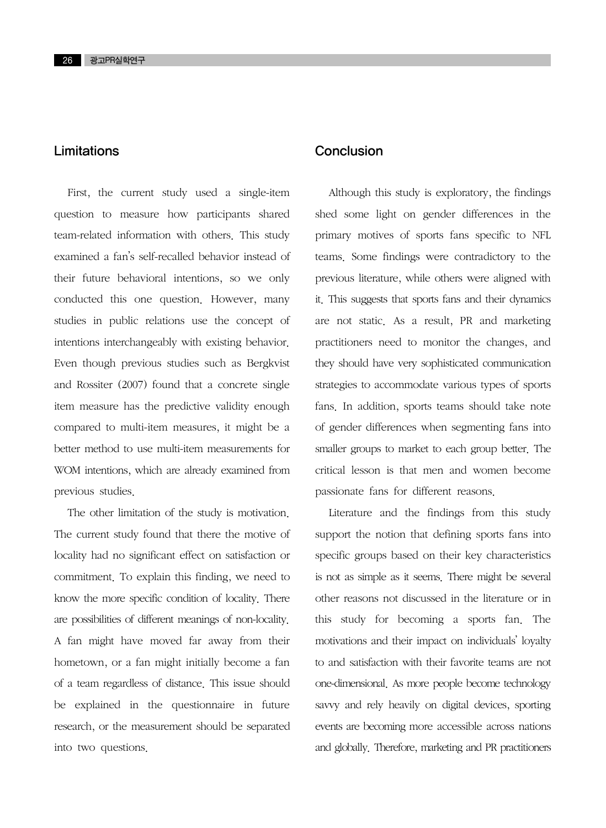### Limitations

First, the current study used a single-item question to measure how participants shared team-related information with others. This study examined a fan's self-recalled behavior instead of their future behavioral intentions, so we only conducted this one question. However, many studies in public relations use the concept of intentions interchangeably with existing behavior. Even though previous studies such as Bergkvist and Rossiter (2007) found that a concrete single item measure has the predictive validity enough compared to multi-item measures, it might be a better method to use multi-item measurements for WOM intentions, which are already examined from previous studies.

The other limitation of the study is motivation. The current study found that there the motive of locality had no significant effect on satisfaction or commitment. To explain this finding, we need to know the more specific condition of locality. There are possibilities of different meanings of non-locality. A fan might have moved far away from their hometown, or a fan might initially become a fan of a team regardless of distance. This issue should be explained in the questionnaire in future research, or the measurement should be separated into two questions.

### **Conclusion**

Although this study is exploratory, the findings shed some light on gender differences in the primary motives of sports fans specific to NFL teams. Some findings were contradictory to the previous literature, while others were aligned with it. This suggests that sports fans and their dynamics are not static. As a result, PR and marketing practitioners need to monitor the changes, and they should have very sophisticated communication strategies to accommodate various types of sports fans. In addition, sports teams should take note of gender differences when segmenting fans into smaller groups to market to each group better. The critical lesson is that men and women become passionate fans for different reasons.

Literature and the findings from this study support the notion that defining sports fans into specific groups based on their key characteristics is not as simple as it seems. There might be several other reasons not discussed in the literature or in this study for becoming a sports fan. The motivations and their impact on individuals' loyalty to and satisfaction with their favorite teams are not one-dimensional. As more people become technology savvy and rely heavily on digital devices, sporting events are becoming more accessible across nations and globally. Therefore, marketing and PR practitioners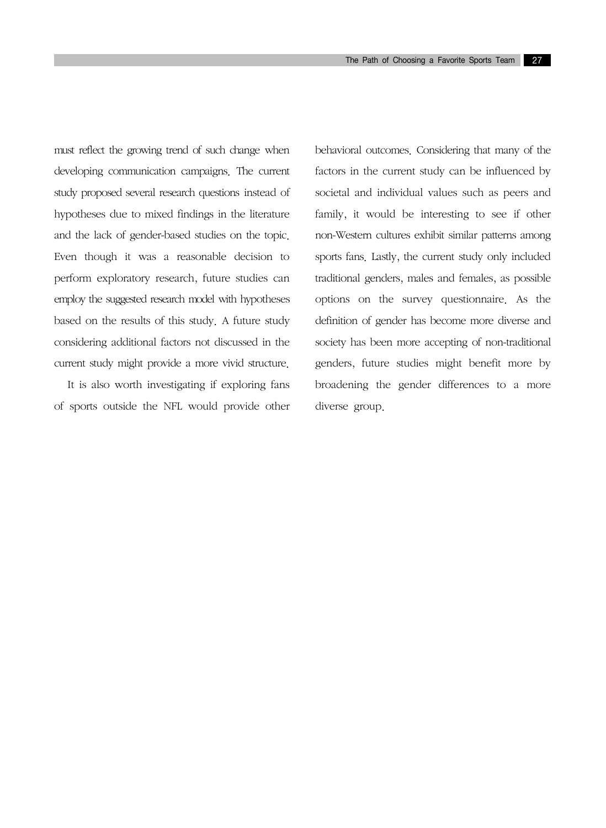must reflect the growing trend of such change when developing communication campaigns. The current study proposed several research questions instead of hypotheses due to mixed findings in the literature and the lack of gender-based studies on the topic. Even though it was a reasonable decision to perform exploratory research, future studies can employ the suggested research model with hypotheses based on the results of this study. A future study considering additional factors not discussed in the current study might provide a more vivid structure.

It is also worth investigating if exploring fans of sports outside the NFL would provide other behavioral outcomes. Considering that many of the factors in the current study can be influenced by societal and individual values such as peers and family, it would be interesting to see if other non-Western cultures exhibit similar patterns among sports fans. Lastly, the current study only included traditional genders, males and females, as possible options on the survey questionnaire. As the definition of gender has become more diverse and society has been more accepting of non-traditional genders, future studies might benefit more by broadening the gender differences to a more diverse group.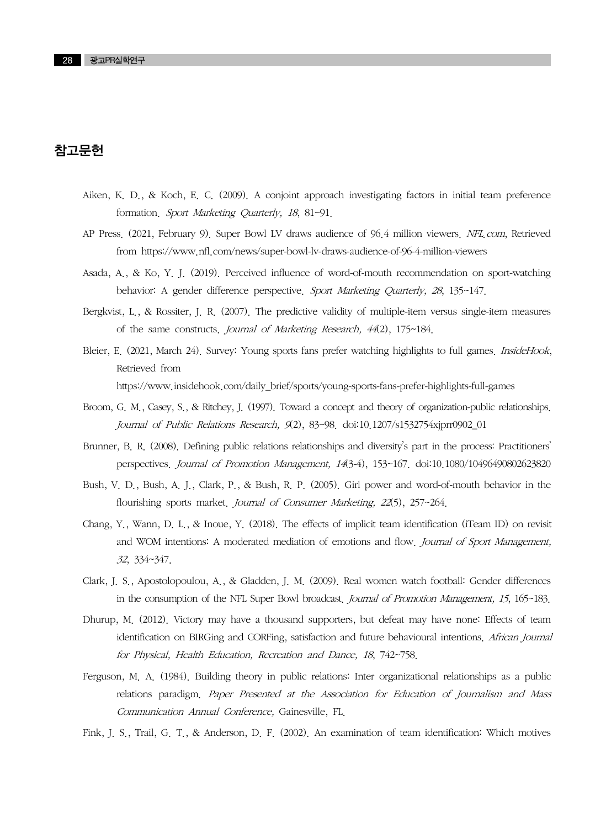### 참고문헌

- Aiken, K. D., & Koch, E. C. (2009). A conjoint approach investigating factors in initial team preference formation. Sport Marketing Quarterly, 18, 81~91.
- AP Press. (2021, February 9). Super Bowl LV draws audience of 96.4 million viewers. NFL.com, Retrieved from https://www.nfl.com/news/super-bowl-lv-draws-audience-of-96-4-million-viewers
- Asada, A., & Ko, Y. J. (2019). Perceived influence of word-of-mouth recommendation on sport-watching behavior: A gender difference perspective. Sport Marketing Quarterly, 28, 135~147.
- Bergkvist, L., & Rossiter, J. R. (2007). The predictive validity of multiple-item versus single-item measures of the same constructs. Journal of Marketing Research, 44(2), 175~184.
- Bleier, E. (2021, March 24). Survey: Young sports fans prefer watching highlights to full games. InsideHook, Retrieved from https://www.insidehook.com/daily\_brief/sports/young-sports-fans-prefer-highlights-full-games
- Broom, G. M., Casey, S., & Ritchey, J. (1997). Toward a concept and theory of organization-public relationships. Journal of Public Relations Research, 9(2), 83~98. doi:10.1207/s1532754xjprr0902\_01
- Brunner, B. R. (2008). Defining public relations relationships and diversity's part in the process: Practitioners' perspectives. Journal of Promotion Management, 14(3-4), 153~167. doi:10.1080/10496490802623820
- Bush, V. D., Bush, A. J., Clark, P., & Bush, R. P. (2005). Girl power and word-of-mouth behavior in the flourishing sports market. Journal of Consumer Marketing, 22(5), 257~264.
- Chang, Y., Wann, D. L., & Inoue, Y. (2018). The effects of implicit team identification (iTeam ID) on revisit and WOM intentions: A moderated mediation of emotions and flow. Journal of Sport Management, 32, 334~347.
- Clark, J. S., Apostolopoulou, A., & Gladden, J. M. (2009). Real women watch football: Gender differences in the consumption of the NFL Super Bowl broadcast. *Journal of Promotion Management*, 15, 165~183.
- Dhurup, M. (2012). Victory may have a thousand supporters, but defeat may have none: Effects of team identification on BIRGing and CORFing, satisfaction and future behavioural intentions. African Journal for Physical, Health Education, Recreation and Dance, 18, 742~758.
- Ferguson, M. A. (1984). Building theory in public relations: Inter organizational relationships as a public relations paradigm. Paper Presented at the Association for Education of Journalism and Mass Communication Annual Conference, Gainesville, FL.
- Fink, J. S., Trail, G. T., & Anderson, D. F. (2002). An examination of team identification: Which motives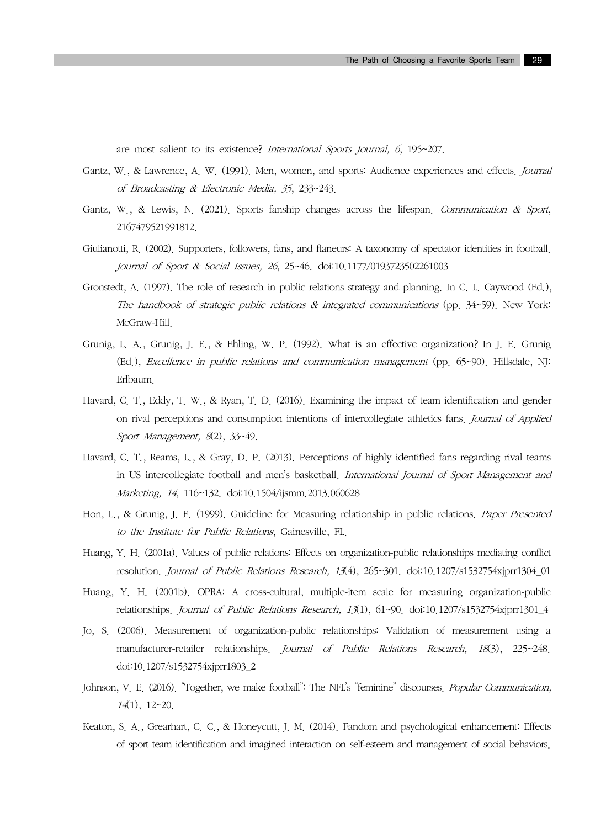are most salient to its existence? International Sports Journal, 6, 195~207.

- Gantz, W., & Lawrence, A. W. (1991). Men, women, and sports: Audience experiences and effects. Journal of Broadcasting & Electronic Media, 35, 233~243.
- Gantz, W., & Lewis, N. (2021). Sports fanship changes across the lifespan. Communication & Sport, 2167479521991812.
- Giulianotti, R. (2002). Supporters, followers, fans, and flaneurs: A taxonomy of spectator identities in football. Journal of Sport & Social Issues, 26, 25~46. doi:10.1177/0193723502261003
- Gronstedt, A. (1997). The role of research in public relations strategy and planning. In C. L. Caywood (Ed.), The handbook of strategic public relations  $\&$  integrated communications (pp. 34~59). New York: McGraw-Hill.
- Grunig, L. A., Grunig, J. E., & Ehling, W. P. (1992). What is an effective organization? In J. E. Grunig (Ed.), Excellence in public relations and communication management (pp. 65~90). Hillsdale, NJ: Erlbaum.
- Havard, C. T., Eddy, T. W., & Ryan, T. D. (2016). Examining the impact of team identification and gender on rival perceptions and consumption intentions of intercollegiate athletics fans. Journal of Applied Sport Management, 8(2), 33~49.
- Havard, C. T., Reams, L., & Gray, D. P. (2013). Perceptions of highly identified fans regarding rival teams in US intercollegiate football and men's basketball. International Journal of Sport Management and Marketing, 14, 116~132. doi:10.1504/ijsmm.2013.060628
- Hon, L., & Grunig, J. E. (1999). Guideline for Measuring relationship in public relations. Paper Presented to the Institute for Public Relations, Gainesville, FL.
- Huang, Y. H. (2001a). Values of public relations: Effects on organization-public relationships mediating conflict resolution. Journal of Public Relations Research, 13(4), 265~301. doi:10.1207/s1532754xjprr1304\_01
- Huang, Y. H. (2001b). OPRA: A cross-cultural, multiple-item scale for measuring organization-public relationships. Journal of Public Relations Research, 13(1), 61~90. doi:10.1207/s1532754xjprr1301\_4
- Jo, S. (2006). Measurement of organization-public relationships: Validation of measurement using a manufacturer-retailer relationships. Journal of Public Relations Research, 18(3), 225~248. doi:10.1207/s1532754xjprr1803\_2
- Johnson, V. E. (2016). "Together, we make football": The NFL's "feminine" discourses. Popular Communication, 14(1), 12~20.
- Keaton, S. A., Grearhart, C. C., & Honeycutt, J. M. (2014). Fandom and psychological enhancement: Effects of sport team identification and imagined interaction on self-esteem and management of social behaviors.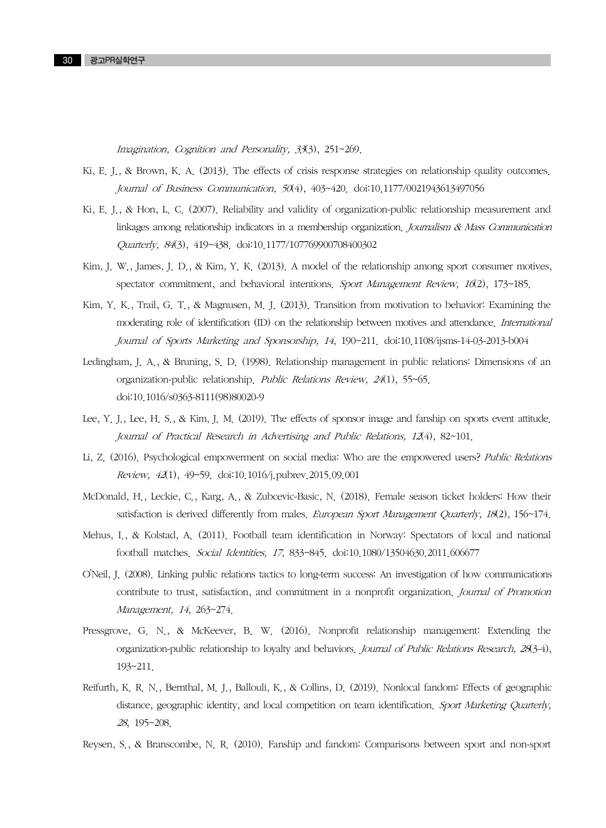Imagination, Cognition and Personality, 33(3), 251~269.

- Ki, E. J., & Brown, K. A. (2013). The effects of crisis response strategies on relationship quality outcomes. Journal of Business Communication, 50(4), 403~420. doi:10.1177/0021943613497056
- Ki, E. J., & Hon, L. C. (2007). Reliability and validity of organization-public relationship measurement and linkages among relationship indicators in a membership organization. Journalism  $\&$  Mass Communication Quarterly, 84(3), 419~438. doi:10.1177/107769900708400302
- Kim, J. W., James, J. D., & Kim, Y. K. (2013). A model of the relationship among sport consumer motives, spectator commitment, and behavioral intentions. Sport Management Review,  $16(2)$ , 173~185.
- Kim, Y. K., Trail, G. T., & Magnusen, M. J. (2013). Transition from motivation to behavior: Examining the moderating role of identification (ID) on the relationship between motives and attendance. International Journal of Sports Marketing and Sponsorship, 14, 190~211. doi:10.1108/ijsms-14-03-2013-b004
- Ledingham, J. A., & Bruning, S. D. (1998). Relationship management in public relations: Dimensions of an organization-public relationship. Public Relations Review, 24(1), 55~65. doi:10.1016/s0363-8111(98)80020-9
- Lee, Y. J., Lee, H. S., & Kim, J. M. (2019). The effects of sponsor image and fanship on sports event attitude. Journal of Practical Research in Advertising and Public Relations, 12(4), 82~101.
- Li, Z. (2016). Psychological empowerment on social media: Who are the empowered users? Public Relations Review, 42(1), 49~59. doi:10.1016/j.pubrev.2015.09.001
- McDonald, H., Leckie, C., Karg, A., & Zubcevic-Basic, N. (2018). Female season ticket holders: How their satisfaction is derived differently from males. European Sport Management Quarterly, 18(2), 156~174.
- Mehus, I., & Kolstad, A. (2011). Football team identification in Norway: Spectators of local and national football matches. Social Identities, 17, 833~845. doi:10.1080/13504630.2011.606677
- O'Neil, J. (2008). Linking public relations tactics to long-term success: An investigation of how communications contribute to trust, satisfaction, and commitment in a nonprofit organization. Journal of Promotion Management, 14, 263~274.
- Pressgrove, G. N., & McKeever, B. W. (2016). Nonprofit relationship management: Extending the organization-public relationship to loyalty and behaviors. Journal of Public Relations Research, 28(3-4), 193~211.
- Reifurth, K. R. N., Bernthal, M. J., Ballouli, K., & Collins, D. (2019). Nonlocal fandom: Effects of geographic distance, geographic identity, and local competition on team identification. Sport Marketing Quarterly, <sup>28</sup>, 195~208.
- Reysen, S., & Branscombe, N. R. (2010). Fanship and fandom: Comparisons between sport and non-sport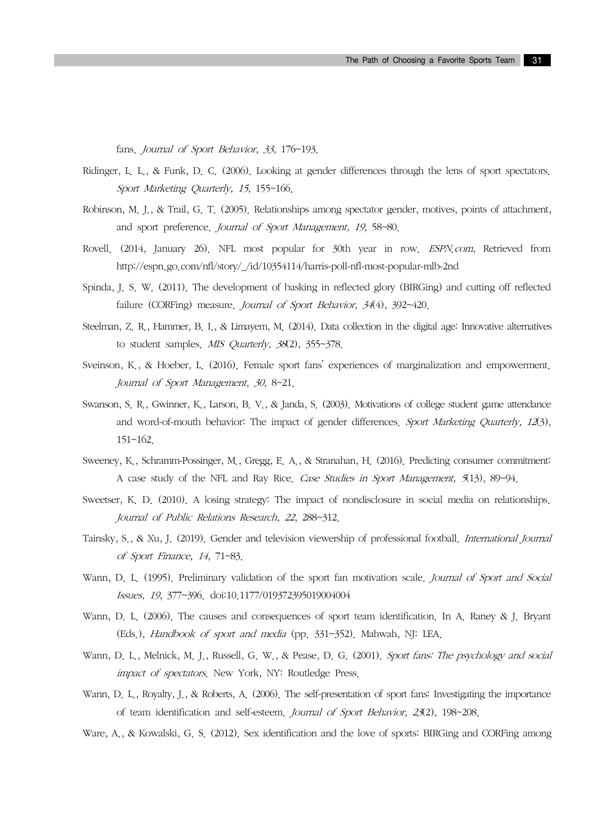fans. Journal of Sport Behavior, 33, 176~193.

- Ridinger, L. L., & Funk, D. C. (2006). Looking at gender differences through the lens of sport spectators. Sport Marketing Quarterly, 15, 155~166.
- Robinson, M. J., & Trail, G. T. (2005). Relationships among spectator gender, motives, points of attachment, and sport preference. Journal of Sport Management, 19, 58~80.
- Rovell. (2014, January 26). NFL most popular for 30th year in row. *ESPN.com*, Retrieved from http://espn.go.com/nfl/story/\_/id/10354114/harris-poll-nfl-most-popular-mlb-2nd
- Spinda, J. S. W. (2011). The development of basking in reflected glory (BIRGing) and cutting off reflected failure (CORFing) measure. Journal of Sport Behavior, 34(4), 392~420.
- Steelman, Z. R., Hammer, B. I., & Limayem, M. (2014). Data collection in the digital age: Innovative alternatives to student samples. MIS Quarterly, 38(2), 355~378.
- Sveinson, K., & Hoeber, L. (2016). Female sport fans' experiences of marginalization and empowerment. Journal of Sport Management, 30, 8~21.
- Swanson, S. R., Gwinner, K., Larson, B. V., & Janda, S. (2003). Motivations of college student game attendance and word-of-mouth behavior: The impact of gender differences. Sport Marketing Quarterly, 12(3), 151~162.
- Sweeney, K., Schramm-Possinger, M., Gregg, E. A., & Stranahan, H. (2016). Predicting consumer commitment: A case study of the NFL and Ray Rice. Case Studies in Sport Management, 5(13), 89~94.
- Sweetser, K. D. (2010). A losing strategy: The impact of nondisclosure in social media on relationships. Journal of Public Relations Research, 22, 288~312.
- Tainsky, S., & Xu, J. (2019). Gender and television viewership of professional football. International Journal of Sport Finance, 14, 71~83.
- Wann, D. L. (1995). Preliminary validation of the sport fan motivation scale. Journal of Sport and Social Issues, 19, 377~396. doi:10.1177/019372395019004004
- Wann, D. L. (2006). The causes and consequences of sport team identification. In A. Raney & J. Bryant (Eds.), Handbook of sport and media (pp. 331~352). Mahwah, NJ: LEA.
- Wann, D. L., Melnick, M. J., Russell, G. W., & Pease, D. G. (2001). Sport fans: The psychology and social impact of spectators. New York, NY: Routledge Press.
- Wann, D. L., Royalty, J., & Roberts, A. (2006). The self-presentation of sport fans: Investigating the importance of team identification and self-esteem. Journal of Sport Behavior, 23(2), 198~208.
- Ware, A., & Kowalski, G. S. (2012). Sex identification and the love of sports: BIRGing and CORFing among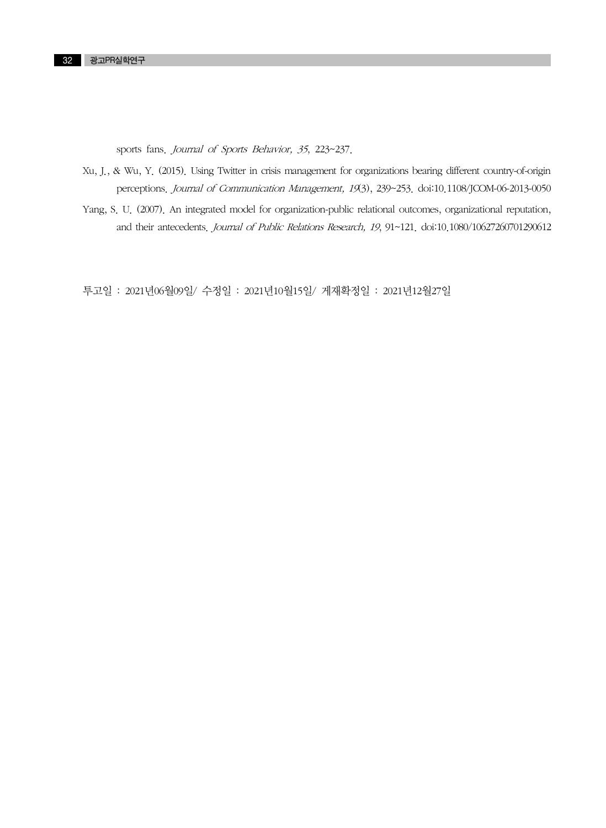sports fans. Journal of Sports Behavior, 35, 223~237.

- Xu, J., & Wu, Y. (2015). Using Twitter in crisis management for organizations bearing different country-of-origin perceptions. Journal of Communication Management, 19(3), 239~253. doi:10.1108/JCOM-06-2013-0050
- Yang, S. U. (2007). An integrated model for organization-public relational outcomes, organizational reputation, and their antecedents. Journal of Public Relations Research, 19, 91~121. doi:10.1080/10627260701290612

투고일 : 2021년06월09일/ 수정일 : 2021년10월15일/ 게재확정일 : 2021년12월27일